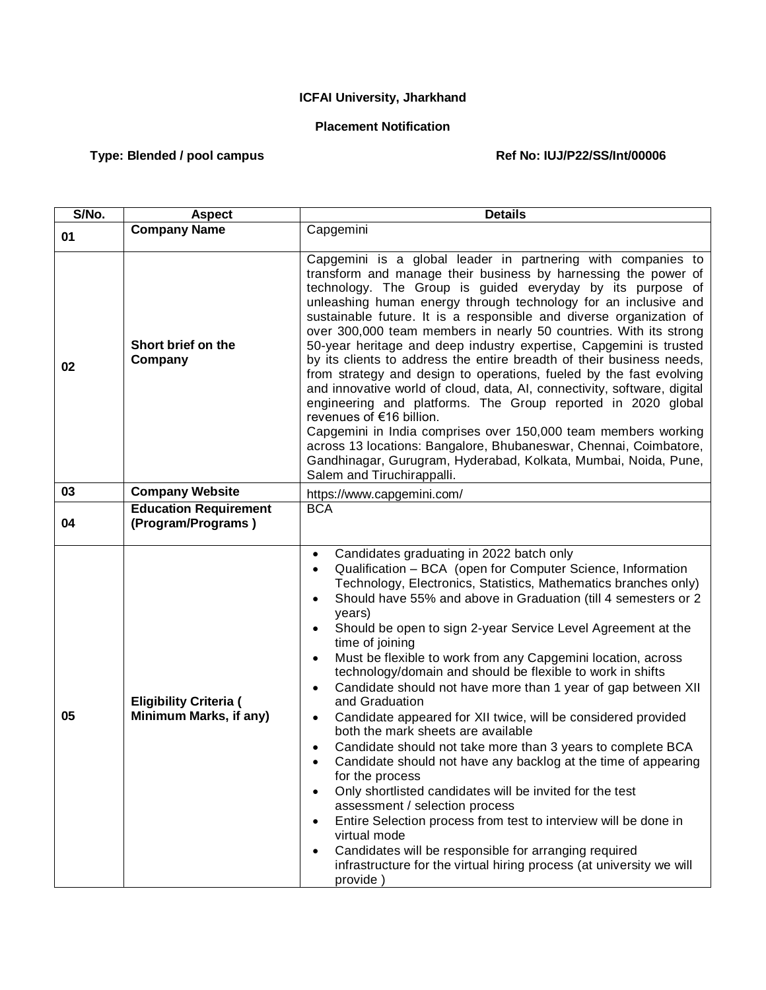## **ICFAI University, Jharkhand**

## **Placement Notification**

## Type: Blended / pool campus **Ref No: IUJ/P22/SS/Int/00006**

| $\overline{S/No}$ . | <b>Aspect</b>                                           | <b>Details</b>                                                                                                                                                                                                                                                                                                                                                                                                                                                                                                                                                                                                                                                                                                                                                                                                                                                                                                                                                                                                                                                                                                                                                                                                                                                                                     |
|---------------------|---------------------------------------------------------|----------------------------------------------------------------------------------------------------------------------------------------------------------------------------------------------------------------------------------------------------------------------------------------------------------------------------------------------------------------------------------------------------------------------------------------------------------------------------------------------------------------------------------------------------------------------------------------------------------------------------------------------------------------------------------------------------------------------------------------------------------------------------------------------------------------------------------------------------------------------------------------------------------------------------------------------------------------------------------------------------------------------------------------------------------------------------------------------------------------------------------------------------------------------------------------------------------------------------------------------------------------------------------------------------|
| 01                  | <b>Company Name</b>                                     | Capgemini                                                                                                                                                                                                                                                                                                                                                                                                                                                                                                                                                                                                                                                                                                                                                                                                                                                                                                                                                                                                                                                                                                                                                                                                                                                                                          |
| 02                  | Short brief on the<br>Company                           | Capgemini is a global leader in partnering with companies to<br>transform and manage their business by harnessing the power of<br>technology. The Group is guided everyday by its purpose of<br>unleashing human energy through technology for an inclusive and<br>sustainable future. It is a responsible and diverse organization of<br>over 300,000 team members in nearly 50 countries. With its strong<br>50-year heritage and deep industry expertise, Capgemini is trusted<br>by its clients to address the entire breadth of their business needs,<br>from strategy and design to operations, fueled by the fast evolving<br>and innovative world of cloud, data, AI, connectivity, software, digital<br>engineering and platforms. The Group reported in 2020 global<br>revenues of €16 billion.<br>Capgemini in India comprises over 150,000 team members working<br>across 13 locations: Bangalore, Bhubaneswar, Chennai, Coimbatore,<br>Gandhinagar, Gurugram, Hyderabad, Kolkata, Mumbai, Noida, Pune,<br>Salem and Tiruchirappalli.                                                                                                                                                                                                                                                  |
| 03                  | <b>Company Website</b>                                  | https://www.capgemini.com/                                                                                                                                                                                                                                                                                                                                                                                                                                                                                                                                                                                                                                                                                                                                                                                                                                                                                                                                                                                                                                                                                                                                                                                                                                                                         |
| 04                  | <b>Education Requirement</b><br>(Program/Programs)      | <b>BCA</b>                                                                                                                                                                                                                                                                                                                                                                                                                                                                                                                                                                                                                                                                                                                                                                                                                                                                                                                                                                                                                                                                                                                                                                                                                                                                                         |
| 05                  | <b>Eligibility Criteria (</b><br>Minimum Marks, if any) | Candidates graduating in 2022 batch only<br>$\bullet$<br>Qualification - BCA (open for Computer Science, Information<br>$\bullet$<br>Technology, Electronics, Statistics, Mathematics branches only)<br>Should have 55% and above in Graduation (till 4 semesters or 2<br>$\bullet$<br>years)<br>Should be open to sign 2-year Service Level Agreement at the<br>$\bullet$<br>time of joining<br>Must be flexible to work from any Capgemini location, across<br>$\bullet$<br>technology/domain and should be flexible to work in shifts<br>Candidate should not have more than 1 year of gap between XII<br>$\bullet$<br>and Graduation<br>Candidate appeared for XII twice, will be considered provided<br>$\bullet$<br>both the mark sheets are available<br>Candidate should not take more than 3 years to complete BCA<br>$\bullet$<br>Candidate should not have any backlog at the time of appearing<br>for the process<br>Only shortlisted candidates will be invited for the test<br>$\bullet$<br>assessment / selection process<br>Entire Selection process from test to interview will be done in<br>$\bullet$<br>virtual mode<br>Candidates will be responsible for arranging required<br>$\bullet$<br>infrastructure for the virtual hiring process (at university we will<br>provide) |